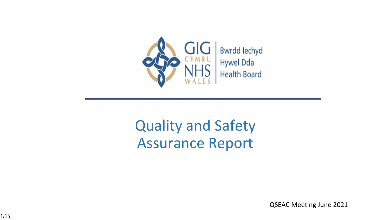

### Quality and Safety Assurance Report

QSEAC Meeting June 2021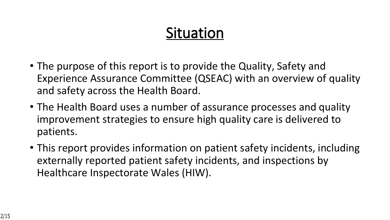### **Situation**

- The purpose of this report is to provide the Quality, Safety and Experience Assurance Committee (QSEAC) with an overview of quality and safety across the Health Board.
- The Health Board uses a number of assurance processes and quality improvement strategies to ensure high quality care is delivered to patients.
- This report provides information on patient safety incidents, including externally reported patient safety incidents, and inspections by Healthcare Inspectorate Wales (HIW).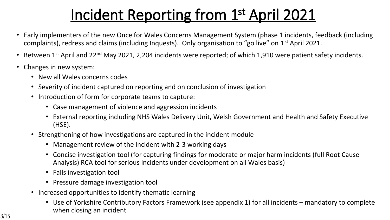### **Incident Reporting from 1st April 2021**

- Early implementers of the new Once for Wales Concerns Management System (phase 1 incidents, feedback (including complaints), redress and claims (including Inquests). Only organisation to "go live" on 1st April 2021.
- Between 1<sup>st</sup> April and 22<sup>nd</sup> May 2021, 2,204 incidents were reported; of which 1,910 were patient safety incidents.
- Changes in new system:
	- New all Wales concerns codes
	- Severity of incident captured on reporting and on conclusion of investigation
	- Introduction of form for corporate teams to capture:
		- Case management of violence and aggression incidents
		- External reporting including NHS Wales Delivery Unit, Welsh Government and Health and Safety Executive (HSE).
	- Strengthening of how investigations are captured in the incident module
		- Management review of the incident with 2-3 working days
		- Concise investigation tool (for capturing findings for moderate or major harm incidents (full Root Cause Analysis) RCA tool for serious incidents under development on all Wales basis)
		- Falls investigation tool
		- Pressure damage investigation tool
	- Increased opportunities to identify thematic learning
		- Use of Yorkshire Contributory Factors Framework (see appendix 1) for all incidents mandatory to complete when closing an incident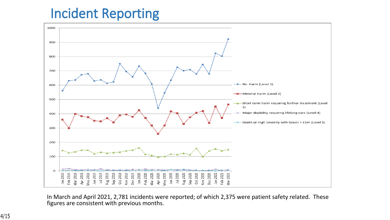### **Incident Reporting**



In March and April 2021, 2,781 incidents were reported; of which 2,375 were patient safety related. These figures are consistent with previous months.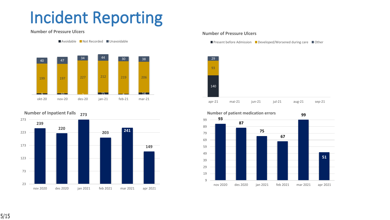## **Incident Reporting**

#### **Number of Pressure Ulcers**





**273 Number of Inpatient Falls**



#### **Number of Pressure Ulcers**

Present before Admission Developed/Worsened during care  $\Box$  Other





#### **Number of patient medication errors**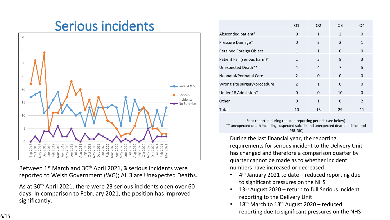

Between 1st March and 30th April 2021, **3** serious incidents were reported to Welsh Government (WG); All 3 are Unexpected Deaths.

As at 30th April 2021, there were 23 serious incidents open over 60 days. In comparison to February 2021, the position has improved significantly.

|                                | Q <sub>1</sub> | Q <sub>2</sub> | Q3             | Q4             |
|--------------------------------|----------------|----------------|----------------|----------------|
| Absconded patient*             | 0              | $\mathbf{1}$   | $\mathcal{P}$  | 0              |
| Pressure Damage*               | 0              | $\mathcal{P}$  | $\mathcal{P}$  | $\mathbf{1}$   |
| <b>Retained Foreign Object</b> | $\mathbf{1}$   | $\mathbf{1}$   | $\Omega$       | 0              |
| Patient Fall (serious harm)*   | 1              | 3              | 8              | 3              |
| Unexpected Death**             | $\overline{4}$ | $\overline{4}$ | $\overline{7}$ | 5              |
| Neonatal/Perinatal Care        | $\mathfrak{p}$ | $\Omega$       | $\Omega$       | $\Omega$       |
| Wrong site surgery/procedure   | $\mathcal{P}$  | $\mathbf{1}$   | $\Omega$       | 0              |
| Under 18 Admission*            | $\Omega$       | $\Omega$       | 10             | $\Omega$       |
| Other                          | 0              | $\mathbf{1}$   | $\Omega$       | $\overline{2}$ |
| Total                          | 10             | 13             | 29             | 11             |

\*not reported during reduced reporting periods (see below) \*\* unexpected death including suspected suicide and unexpected death in childhood (PRUDiC)

During the last financial year, the reporting requirements for serious incident to the Delivery Unit has changed and therefore a comparison quarter by quarter cannot be made as to whether incident numbers have increased or decreased:

- 4 th January 2021 to date reduced reporting due to significant pressures on the NHS
- 13<sup>th</sup> August 2020 return to full Serious Incident reporting to the Delivery Unit
- 18<sup>th</sup> March to 13<sup>th</sup> August 2020 reduced reporting due to significant pressures on the NHS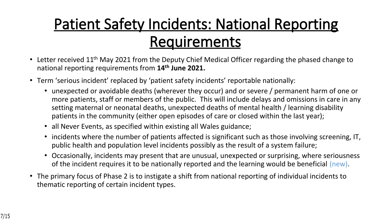## **Patient Safety Incidents: National Reporting Requirements**

- Letter received 11<sup>th</sup> May 2021 from the Deputy Chief Medical Officer regarding the phased change to national reporting requirements from **14th June 2021.**
- Term 'serious incident' replaced by 'patient safety incidents' reportable nationally:
	- unexpected or avoidable deaths (wherever they occur) and or severe / permanent harm of one or more patients, staff or members of the public. This will include delays and omissions in care in any setting maternal or neonatal deaths, unexpected deaths of mental health / learning disability patients in the community (either open episodes of care or closed within the last year);
	- all Never Events, as specified within existing all Wales guidance;
	- incidents where the number of patients affected is significant such as those involving screening, IT, public health and population level incidents possibly as the result of a system failure;
	- Occasionally, incidents may present that are unusual, unexpected or surprising, where seriousness of the incident requires it to be nationally reported and the learning would be beneficial (new).
- The primary focus of Phase 2 is to instigate a shift from national reporting of individual incidents to thematic reporting of certain incident types.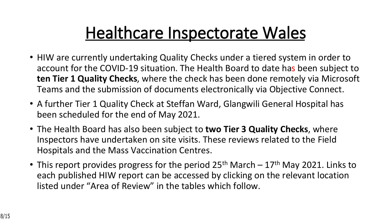# **Healthcare Inspectorate Wales**

- HIW are currently undertaking Quality Checks under a tiered system in order to account for the COVID-19 situation. The Health Board to date has been subject to **ten Tier 1 Quality Checks**, where the check has been done remotely via Microsoft Teams and the submission of documents electronically via Objective Connect.
- A further Tier 1 Quality Check at Steffan Ward, Glangwili General Hospital has been scheduled for the end of May 2021.
- The Health Board has also been subject to **two Tier 3 Quality Checks**, where Inspectors have undertaken on site visits. These reviews related to the Field Hospitals and the Mass Vaccination Centres.
- This report provides progress for the period  $25<sup>th</sup>$  March  $-17<sup>th</sup>$  May 2021. Links to each published HIW report can be accessed by clicking on the relevant location listed under "Area of Review" in the tables which follow.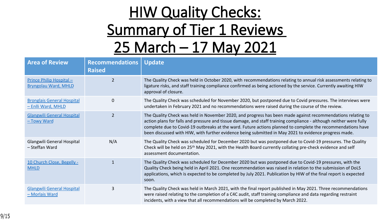|                                                                                                        |                      |                         |                                       | $\blacksquare$                                                                              | #                                                                                           |                                     |                                                           |
|--------------------------------------------------------------------------------------------------------|----------------------|-------------------------|---------------------------------------|---------------------------------------------------------------------------------------------|---------------------------------------------------------------------------------------------|-------------------------------------|-----------------------------------------------------------|
|                                                                                                        |                      |                         |                                       |                                                                                             |                                                                                             | $\mathbf{O}/$<br>$\mathbf{\Omega}'$ |                                                           |
|                                                                                                        | $\blacksquare$       |                         |                                       | $\bigstar$                                                                                  |                                                                                             |                                     |                                                           |
| $\star$<br>$+ ,$<br>土                                                                                  |                      |                         |                                       |                                                                                             |                                                                                             |                                     |                                                           |
| $\frac{1}{2}$<br>$=$ .<br>$=$<br>$'$ F6                                                                |                      |                         | . $%$                                 | $\vert 0 \rangle$ $\vert 0 \rangle$<br>$\star$<br>$\mathbf{L}^{\text{max}}$<br>$\mathbf{H}$ | $\frac{9}{6}$<br>$\mathbf{u}$                                                               | $\star$                             | $\mathbf{H}$ .<br>$\star$                                 |
| 8<br>$\overline{F}6$                                                                                   |                      |                         | . %<br>$\prec$                        | $\sqrt{5}$<br><b>IIK *</b><br>$\mathbf{H}$ . $\mathbf{H}$                                   | $\%$                                                                                        |                                     |                                                           |
| $\frac{9}{6}$<br>8<br>8<br>$\overline{\mathbf{c}}$<br>$\frac{9}{6}$                                    |                      | $\mathbf{H}$<br>$\star$ | . %<br>9 3<br>$\%$<br>$' +$ , %       | $\blacksquare$<br>$5\overline{)}$<br>$\%$                                                   | $\mathbf{H}$<br>$)$ <                                                                       | $\star$<br>$\star$ $\cdot$          | $\mathbf{u}$<br>$\%$<br>$\mathbf{H}$<br>9<br>$\mathbf{H}$ |
| $\%$<br>8<br>$\begin{array}{c} 8 \\ ? \end{array}$<br>$\mathbf{I}_{\perp}$<br>$\overline{\phantom{a}}$ | $5D$                 | $\frac{9}{10}$          | . $%$<br>$\, {\sf B}$<br>$\mathbf{H}$ | $\mathbf{u} \cdot \mathbf{x}$<br>$6\phantom{.}6$<br>$\star$<br>$\%$<br>$\mathcal{A}$ .      | $\%$                                                                                        |                                     | 9 3<br>9 <sub>o</sub><br>$\sim 10$                        |
| 'F6                                                                                                    | $9\,$                |                         | . $\%$<br>$\%$<br>$\mathbf{I}$        | $\mathbf{u}$ $\star$<br>$6\phantom{1}6$<br>$\star$                                          | $\%$<br><br><br><br><br><br><br><br><br><br><br><br><br><br><br><br><br><br><br><br>$\star$ | $\%$<br>$\ast$<br>$=$               | 9 3<br>$\star$ $\cdot$ +,                                 |
| $\frac{0}{6}$<br>8<br>8<br>$\Omega$                                                                    | $\ddot{\phantom{a}}$ | $\%$                    | . %<br>$\%$<br>$\%$                   | $\%$<br>$\mathbf{H}$ .<br>$\vert 0 \rangle / \vert 0 \rangle$                               | $\mathbf{1}$<br>$\%$                                                                        |                                     | $\mathbf{0}$ . $\mathbf{0}$                               |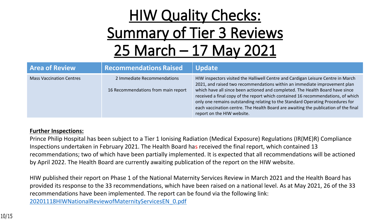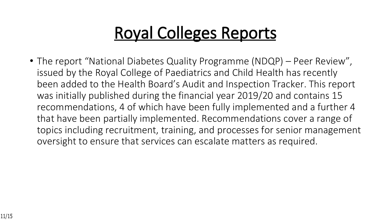# **Royal Colleges Reports**

• The report "National Diabetes Quality Programme (NDQP) – Peer Review", issued by the Royal College of Paediatrics and Child Health has recently been added to the Health Board's Audit and Inspection Tracker. This report was initially published during the financial year 2019/20 and contains 15 recommendations, 4 of which have been fully implemented and a further 4 that have been partially implemented. Recommendations cover a range of topics including recruitment, training, and processes for senior management oversight to ensure that services can escalate matters as required.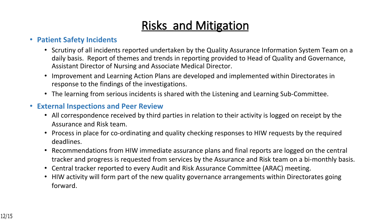### **Risks and Mitigation**

#### • **Patient Safety Incidents**

- Scrutiny of all incidents reported undertaken by the Quality Assurance Information System Team on a daily basis. Report of themes and trends in reporting provided to Head of Quality and Governance, Assistant Director of Nursing and Associate Medical Director.
- Improvement and Learning Action Plans are developed and implemented within Directorates in response to the findings of the investigations.
- The learning from serious incidents is shared with the Listening and Learning Sub-Committee.

#### • **External Inspections and Peer Review**

- All correspondence received by third parties in relation to their activity is logged on receipt by the Assurance and Risk team.
- Process in place for co-ordinating and quality checking responses to HIW requests by the required deadlines.
- Recommendations from HIW immediate assurance plans and final reports are logged on the central tracker and progress is requested from services by the Assurance and Risk team on a bi-monthly basis.
- Central tracker reported to every Audit and Risk Assurance Committee (ARAC) meeting.
- HIW activity will form part of the new quality governance arrangements within Directorates going forward.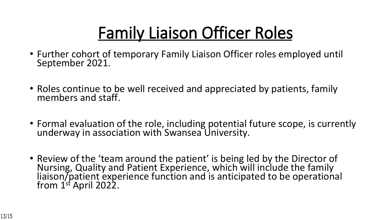# **Family Liaison Officer Roles**

- Further cohort of temporary Family Liaison Officer roles employed until September 2021.
- Roles continue to be well received and appreciated by patients, family members and staff.
- Formal evaluation of the role, including potential future scope, is currently underway in association with Swansea University.
- Review of the 'team around the patient' is being led by the Director of Nursing, Quality and Patient Experience, which will include the family liaison/patient experience function and is anticipated to be operational from  $1^{st}$  April 2022.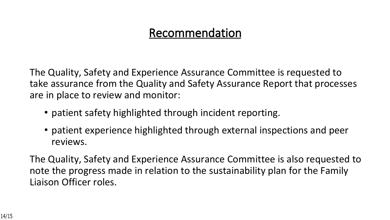#### **Recommendation**

The Quality, Safety and Experience Assurance Committee is requested to take assurance from the Quality and Safety Assurance Report that processes are in place to review and monitor:

- patient safety highlighted through incident reporting.
- patient experience highlighted through external inspections and peer reviews.

The Quality, Safety and Experience Assurance Committee is also requested to note the progress made in relation to the sustainability plan for the Family Liaison Officer roles.